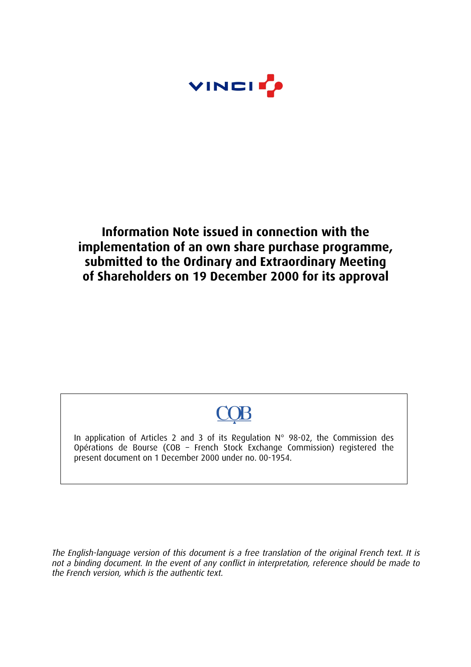

# **Information Note issued in connection with the implementation of an own share purchase programme, submitted to the Ordinary and Extraordinary Meeting of Shareholders on 19 December 2000 for its approval**

In application of Articles 2 and 3 of its Regulation N° 98-02, the Commission des Opérations de Bourse (COB – French Stock Exchange Commission) registered the present document on 1 December 2000 under no. 00-1954.

The English-language version of this document is a free translation of the original French text. It is not a binding document. In the event of any conflict in interpretation, reference should be made to the French version, which is the authentic text.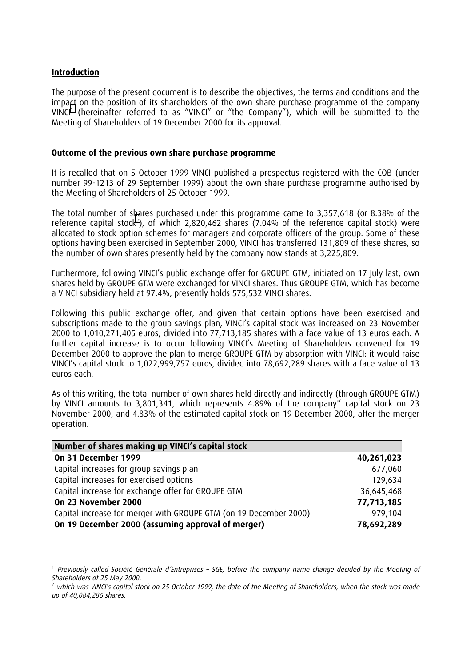#### **Introduction**

ł

The purpose of the present document is to describe the objectives, the terms and conditions and the impact on the position of its shareholders of the own share purchase programme of the company VINCI<sup>1</sup> (hereinafter referred to as "VINCI" or "the Company"), which will be submitted to the Meeting of Shareholders of 19 December 2000 for its approval.

#### **Outcome of the previous own share purchase programme**

It is recalled that on 5 October 1999 VINCI published a prospectus registered with the COB (under number 99-1213 of 29 September 1999) about the own share purchase programme authorised by the Meeting of Shareholders of 25 October 1999.

The total number of shares purchased under this programme came to 3,357,618 (or 8.38% of the reference capital stock<sup>2</sup>), of which 2,820,462 shares (7.04% of the reference capital stock) were allocated to stock option schemes for managers and corporate officers of the group. Some of these options having been exercised in September 2000, VINCI has transferred 131,809 of these shares, so the number of own shares presently held by the company now stands at 3,225,809.

Furthermore, following VINCI's public exchange offer for GROUPE GTM, initiated on 17 July last, own shares held by GROUPE GTM were exchanged for VINCI shares. Thus GROUPE GTM, which has become a VINCI subsidiary held at 97.4%, presently holds 575,532 VINCI shares.

Following this public exchange offer, and given that certain options have been exercised and subscriptions made to the group savings plan, VINCI's capital stock was increased on 23 November 2000 to 1,010,271,405 euros, divided into 77,713,185 shares with a face value of 13 euros each. A further capital increase is to occur following VINCI's Meeting of Shareholders convened for 19 December 2000 to approve the plan to merge GROUPE GTM by absorption with VINCI: it would raise VINCI's capital stock to 1,022,999,757 euros, divided into 78,692,289 shares with a face value of 13 euros each.

As of this writing, the total number of own shares held directly and indirectly (through GROUPE GTM) by VINCI amounts to 3,801,341, which represents 4.89% of the company' capital stock on 23 November 2000, and 4.83% of the estimated capital stock on 19 December 2000, after the merger operation.

| Number of shares making up VINCI's capital stock                  |            |
|-------------------------------------------------------------------|------------|
| On 31 December 1999                                               | 40,261,023 |
| Capital increases for group savings plan                          | 677,060    |
| Capital increases for exercised options                           | 129,634    |
| Capital increase for exchange offer for GROUPE GTM                | 36,645,468 |
| On 23 November 2000                                               | 77,713,185 |
| Capital increase for merger with GROUPE GTM (on 19 December 2000) | 979,104    |
| On 19 December 2000 (assuming approval of merger)                 | 78,692,289 |

<sup>&</sup>lt;sup>1</sup> Previously called Société Générale d'Entreprises – SGE, before the company name change decided by the Meeting of Shareholders of 25 May 2000.

which was VINCI's capital stock on 25 October 1999, the date of the Meeting of Shareholders, when the stock was made up of 40,084,286 shares.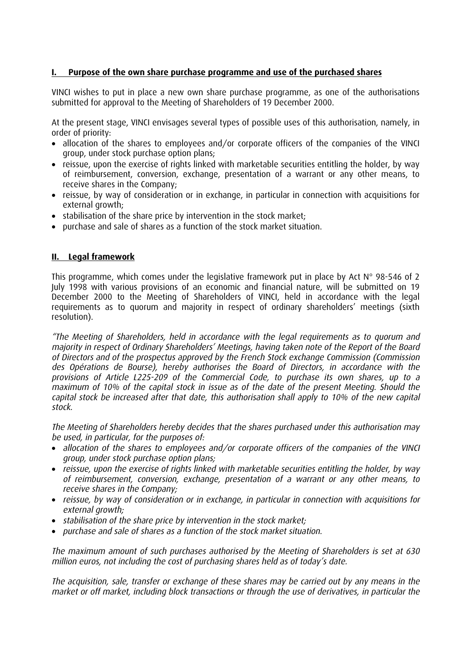# **I. Purpose of the own share purchase programme and use of the purchased shares**

VINCI wishes to put in place a new own share purchase programme, as one of the authorisations submitted for approval to the Meeting of Shareholders of 19 December 2000.

At the present stage, VINCI envisages several types of possible uses of this authorisation, namely, in order of priority:

- allocation of the shares to employees and/or corporate officers of the companies of the VINCI group, under stock purchase option plans;
- reissue, upon the exercise of rights linked with marketable securities entitling the holder, by way of reimbursement, conversion, exchange, presentation of a warrant or any other means, to receive shares in the Company;
- reissue, by way of consideration or in exchange, in particular in connection with acquisitions for external growth:
- stabilisation of the share price by intervention in the stock market;
- purchase and sale of shares as a function of the stock market situation.

#### **II. Legal framework**

This programme, which comes under the legislative framework put in place by Act  $N^{\circ}$  98-546 of 2 July 1998 with various provisions of an economic and financial nature, will be submitted on 19 December 2000 to the Meeting of Shareholders of VINCI, held in accordance with the legal requirements as to quorum and majority in respect of ordinary shareholders' meetings (sixth resolution).

The Meeting of Shareholders, held in accordance with the legal requirements as to quorum and majority in respect of Ordinary Shareholders' Meetings, having taken note of the Report of the Board of Directors and of the prospectus approved by the French Stock exchange Commission (Commission des Opérations de Bourse), hereby authorises the Board of Directors, in accordance with the provisions of Article L225-209 of the Commercial Code, to purchase its own shares, up to a maximum of 10% of the capital stock in issue as of the date of the present Meeting. Should the capital stock be increased after that date, this authorisation shall apply to 10% of the new capital stock.

The Meeting of Shareholders hereby decides that the shares purchased under this authorisation may be used, in particular, for the purposes of:

- allocation of the shares to employees and/or corporate officers of the companies of the VINCI group, under stock purchase option plans;
- reissue, upon the exercise of rights linked with marketable securities entitling the holder, by way of reimbursement, conversion, exchange, presentation of a warrant or any other means, to receive shares in the Company;
- reissue, by way of consideration or in exchange, in particular in connection with acquisitions for  $external$  *growth*:
- stabilisation of the share price by intervention in the stock market;
- purchase and sale of shares as a function of the stock market situation.

The maximum amount of such purchases authorised by the Meeting of Shareholders is set at 630 million euros, not including the cost of purchasing shares held as of today's date.

The acquisition, sale, transfer or exchange of these shares may be carried out by any means in the market or off market, including block transactions or through the use of derivatives, in particular the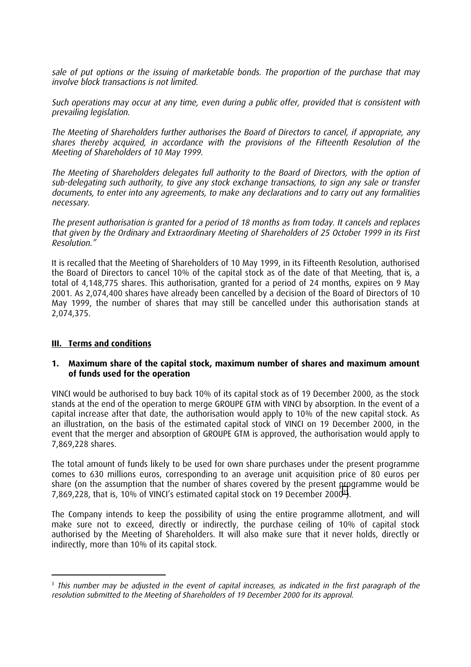sale of put options or the issuing of marketable bonds. The proportion of the purchase that may involve block transactions is not limited.

Such operations may occur at any time, even during a public offer, provided that is consistent with prevailing legislation.

The Meeting of Shareholders further authorises the Board of Directors to cancel, if appropriate, any shares thereby acquired, in accordance with the provisions of the Fifteenth Resolution of the Meeting of Shareholders of 10 May 1999.

The Meeting of Shareholders delegates full authority to the Board of Directors, with the option of sub-delegating such authority, to give any stock exchange transactions, to sign any sale or transfer documents, to enter into any agreements, to make any declarations and to carry out any formalities necessary.

The present authorisation is granted for a period of 18 months as from today. It cancels and replaces that given by the Ordinary and Extraordinary Meeting of Shareholders of 25 October 1999 in its First Resolution.

It is recalled that the Meeting of Shareholders of 10 May 1999, in its Fifteenth Resolution, authorised the Board of Directors to cancel 10% of the capital stock as of the date of that Meeting, that is, a total of 4,148,775 shares. This authorisation, granted for a period of 24 months, expires on 9 May 2001. As 2,074,400 shares have already been cancelled by a decision of the Board of Directors of 10 May 1999, the number of shares that may still be cancelled under this authorisation stands at 2,074,375.

#### **III. Terms and conditions**

#### **1. Maximum share of the capital stock, maximum number of shares and maximum amount of funds used for the operation**

VINCI would be authorised to buy back 10% of its capital stock as of 19 December 2000, as the stock stands at the end of the operation to merge GROUPE GTM with VINCI by absorption. In the event of a capital increase after that date, the authorisation would apply to 10% of the new capital stock. As an illustration, on the basis of the estimated capital stock of VINCI on 19 December 2000, in the event that the merger and absorption of GROUPE GTM is approved, the authorisation would apply to 7,869,228 shares.

The total amount of funds likely to be used for own share purchases under the present programme comes to 630 millions euros, corresponding to an average unit acquisition price of 80 euros per share (on the assumption that the number of shares covered by the present programme would be  $7,869,228$ , that is, 10% of VINCI's estimated capital stock on 19 December 2000<sup>3</sup>).

The Company intends to keep the possibility of using the entire programme allotment, and will make sure not to exceed, directly or indirectly, the purchase ceiling of 10% of capital stock authorised by the Meeting of Shareholders. It will also make sure that it never holds, directly or indirectly, more than 10% of its capital stock.

i <sup>3</sup> This number may be adjusted in the event of capital increases, as indicated in the first paragraph of the resolution submitted to the Meeting of Shareholders of 19 December 2000 for its approval.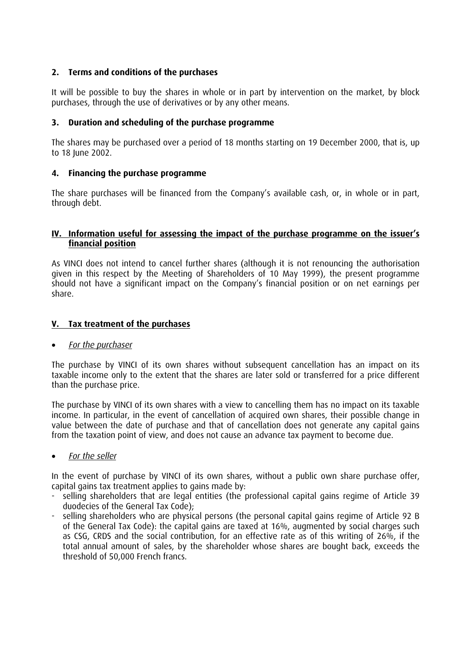# **2. Terms and conditions of the purchases**

It will be possible to buy the shares in whole or in part by intervention on the market, by block purchases, through the use of derivatives or by any other means.

### **3. Duration and scheduling of the purchase programme**

The shares may be purchased over a period of 18 months starting on 19 December 2000, that is, up to 18 June 2002.

### **4. Financing the purchase programme**

The share purchases will be financed from the Companys available cash, or, in whole or in part, through debt.

#### **IV. Information useful for assessing the impact of the purchase programme on the issuers financial position**

As VINCI does not intend to cancel further shares (although it is not renouncing the authorisation given in this respect by the Meeting of Shareholders of 10 May 1999), the present programme should not have a significant impact on the Company's financial position or on net earnings per share.

### **V. Tax treatment of the purchases**

#### • For the purchaser

The purchase by VINCI of its own shares without subsequent cancellation has an impact on its taxable income only to the extent that the shares are later sold or transferred for a price different than the purchase price.

The purchase by VINCI of its own shares with a view to cancelling them has no impact on its taxable income. In particular, in the event of cancellation of acquired own shares, their possible change in value between the date of purchase and that of cancellation does not generate any capital gains from the taxation point of view, and does not cause an advance tax payment to become due.

#### • For the seller

In the event of purchase by VINCI of its own shares, without a public own share purchase offer, capital gains tax treatment applies to gains made by:

- selling shareholders that are legal entities (the professional capital gains regime of Article 39 duodecies of the General Tax Code);
- selling shareholders who are physical persons (the personal capital gains regime of Article 92 B of the General Tax Code): the capital gains are taxed at 16%, augmented by social charges such as CSG, CRDS and the social contribution, for an effective rate as of this writing of 26%, if the total annual amount of sales, by the shareholder whose shares are bought back, exceeds the threshold of 50,000 French francs.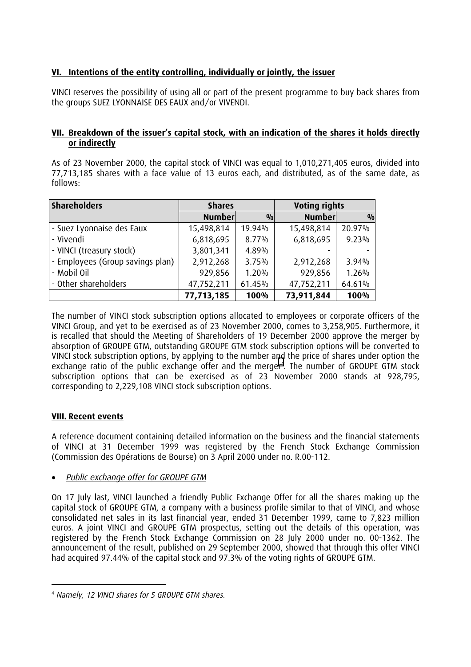# **VI. Intentions of the entity controlling, individually or jointly, the issuer**

VINCI reserves the possibility of using all or part of the present programme to buy back shares from the groups SUEZ LYONNAISE DES EAUX and/or VIVENDI.

#### **VII. Breakdown of the issuers capital stock, with an indication of the shares it holds directly or indirectly**

As of 23 November 2000, the capital stock of VINCI was equal to 1,010,271,405 euros, divided into 77,713,185 shares with a face value of 13 euros each, and distributed, as of the same date, as follows:

| <b>Shareholders</b>              | Voting rights<br><b>Shares</b> |               |               |        |
|----------------------------------|--------------------------------|---------------|---------------|--------|
|                                  | <b>Number</b>                  | $\frac{0}{0}$ | <b>Number</b> | 0/0    |
| - Suez Lyonnaise des Eaux        | 15,498,814                     | 19.94%        | 15,498,814    | 20.97% |
| - Vivendi                        | 6,818,695                      | 8.77%         | 6,818,695     | 9.23%  |
| - VINCI (treasury stock)         | 3,801,341                      | 4.89%         |               |        |
| - Employees (Group savings plan) | 2,912,268                      | 3.75%         | 2,912,268     | 3.94%  |
| - Mobil Oil                      | 929,856                        | 1.20%         | 929,856       | 1.26%  |
| - Other shareholders             | 47,752,211                     | 61.45%        | 47,752,211    | 64.61% |
|                                  | 77,713,185                     | 100%          | 73,911,844    | 100%   |

The number of VINCI stock subscription options allocated to employees or corporate officers of the VINCI Group, and yet to be exercised as of 23 November 2000, comes to 3,258,905. Furthermore, it is recalled that should the Meeting of Shareholders of 19 December 2000 approve the merger by absorption of GROUPE GTM, outstanding GROUPE GTM stock subscription options will be converted to VINCI stock subscription options, by applying to the number and the price of shares under option the exchange ratio of the public exchange offer and the merger<sup>4</sup>. The number of GROUPE GTM stock subscription options that can be exercised as of 23 November 2000 stands at 928,795, corresponding to 2,229,108 VINCI stock subscription options.

# **VIII. Recent events**

A reference document containing detailed information on the business and the financial statements of VINCI at 31 December 1999 was registered by the French Stock Exchange Commission (Commission des Opérations de Bourse) on 3 April 2000 under no. R.00-112.

• Public exchange offer for GROUPE GTM

On 17 July last, VINCI launched a friendly Public Exchange Offer for all the shares making up the capital stock of GROUPE GTM, a company with a business profile similar to that of VINCI, and whose consolidated net sales in its last financial year, ended 31 December 1999, came to 7,823 million euros. A joint VINCI and GROUPE GTM prospectus, setting out the details of this operation, was registered by the French Stock Exchange Commission on 28 July 2000 under no. 00-1362. The announcement of the result, published on 29 September 2000, showed that through this offer VINCI had acquired 97.44% of the capital stock and 97.3% of the voting rights of GROUPE GTM.

i <sup>4</sup> Namely, 12 VINCI shares for 5 GROUPE GTM shares.